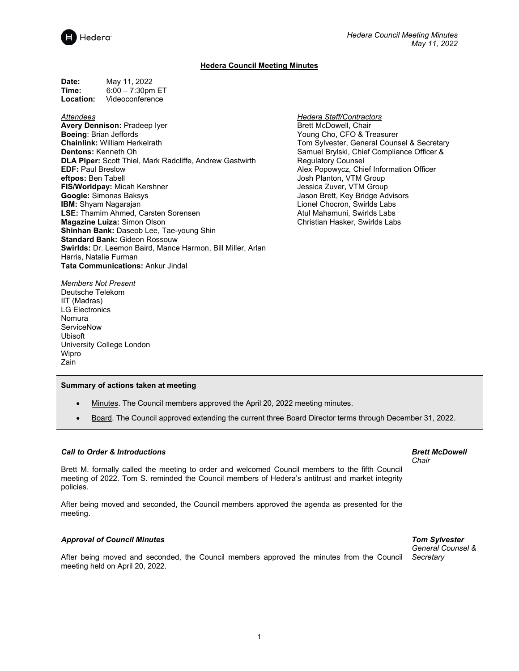

# **Hedera Council Meeting Minutes**

**Date:** May 11, 2022<br> **Time:** 6:00 – 7:30pm **Time:** 6:00 – 7:30pm ET<br>**Location:** Videoconference **Location:** Videoconference

### *Attendees*

- **Avery Dennison:** Pradeep Iyer **Boeing**: Brian Jeffords **Chainlink:** William Herkelrath **Dentons:** Kenneth Oh **DLA Piper:** Scott Thiel, Mark Radcliffe, Andrew Gastwirth **EDF:** Paul Breslow **eftpos:** Ben Tabell **FIS/Worldpay:** Micah Kershner **Google:** Simonas Baksys **IBM:** Shyam Nagarajan **LSE:** Thamim Ahmed, Carsten Sorensen **Magazine Luiza:** Simon Olson **Shinhan Bank:** Daseob Lee, Tae-young Shin **Standard Bank:** Gideon Rossouw **Swirlds:** Dr. Leemon Baird, Mance Harmon, Bill Miller, Arlan Harris, Natalie Furman **Tata Communications:** Ankur Jindal
- *Hedera Staff/Contractors* Brett McDowell, Chair Young Cho, CFO & Treasurer Tom Sylvester, General Counsel & Secretary Samuel Brylski, Chief Compliance Officer & Regulatory Counsel Alex Popowycz, Chief Information Officer Josh Planton, VTM Group Jessica Zuver, VTM Group Jason Brett, Key Bridge Advisors Lionel Chocron, Swirlds Labs Atul Mahamuni, Swirlds Labs Christian Hasker, Swirlds Labs

*Members Not Present* Deutsche Telekom IIT (Madras) LG Electronics Nomura **ServiceNow** Ubisoft University College London Wipro Zain

#### **Summary of actions taken at meeting**

- Minutes. The Council members approved the April 20, 2022 meeting minutes.
- Board. The Council approved extending the current three Board Director terms through December 31, 2022.

## *Call to Order & Introductions*

Brett M. formally called the meeting to order and welcomed Council members to the fifth Council meeting of 2022. Tom S. reminded the Council members of Hedera's antitrust and market integrity policies.

After being moved and seconded, the Council members approved the agenda as presented for the meeting.

#### *Approval of Council Minutes*

After being moved and seconded, the Council members approved the minutes from the Council *Secretary*meeting held on April 20, 2022.

*Brett McDowell Chair*

#### *Tom Sylvester General Counsel &*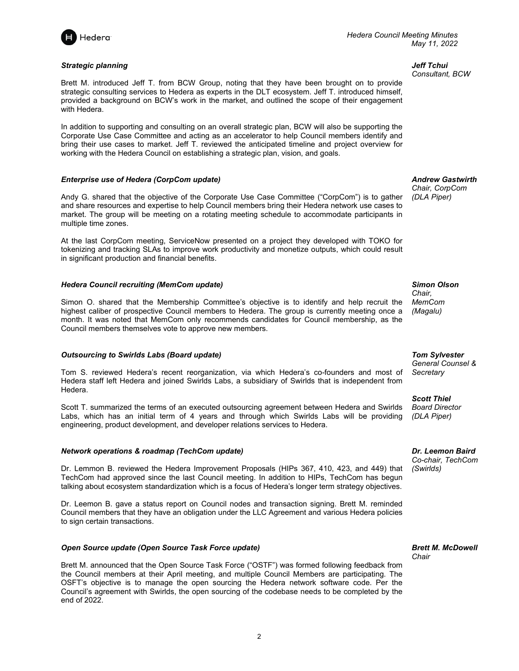

### *Strategic planning*

Brett M. introduced Jeff T. from BCW Group, noting that they have been brought on to provide strategic consulting services to Hedera as experts in the DLT ecosystem. Jeff T. introduced himself, provided a background on BCW's work in the market, and outlined the scope of their engagement with Hedera.

In addition to supporting and consulting on an overall strategic plan, BCW will also be supporting the Corporate Use Case Committee and acting as an accelerator to help Council members identify and bring their use cases to market. Jeff T. reviewed the anticipated timeline and project overview for working with the Hedera Council on establishing a strategic plan, vision, and goals.

### *Enterprise use of Hedera (CorpCom update)*

Andy G. shared that the objective of the Corporate Use Case Committee ("CorpCom") is to gather and share resources and expertise to help Council members bring their Hedera network use cases to market. The group will be meeting on a rotating meeting schedule to accommodate participants in multiple time zones.

At the last CorpCom meeting, ServiceNow presented on a project they developed with TOKO for tokenizing and tracking SLAs to improve work productivity and monetize outputs, which could result in significant production and financial benefits.

### *Hedera Council recruiting (MemCom update)*

Simon O. shared that the Membership Committee's objective is to identify and help recruit the highest caliber of prospective Council members to Hedera. The group is currently meeting once a month. It was noted that MemCom only recommends candidates for Council membership, as the Council members themselves vote to approve new members.

#### *Outsourcing to Swirlds Labs (Board update)*

Tom S. reviewed Hedera's recent reorganization, via which Hedera's co-founders and most of Hedera staff left Hedera and joined Swirlds Labs, a subsidiary of Swirlds that is independent from Hedera.

Scott T. summarized the terms of an executed outsourcing agreement between Hedera and Swirlds Labs, which has an initial term of 4 years and through which Swirlds Labs will be providing engineering, product development, and developer relations services to Hedera.

### *Network operations & roadmap (TechCom update)*

Dr. Lemmon B. reviewed the Hedera Improvement Proposals (HIPs 367, 410, 423, and 449) that TechCom had approved since the last Council meeting. In addition to HIPs, TechCom has begun talking about ecosystem standardization which is a focus of Hedera's longer term strategy objectives.

Dr. Leemon B. gave a status report on Council nodes and transaction signing. Brett M. reminded Council members that they have an obligation under the LLC Agreement and various Hedera policies to sign certain transactions.

#### *Open Source update (Open Source Task Force update)*

Brett M. announced that the Open Source Task Force ("OSTF") was formed following feedback from the Council members at their April meeting, and multiple Council Members are participating. The OSFT's objective is to manage the open sourcing the Hedera network software code. Per the Council's agreement with Swirlds, the open sourcing of the codebase needs to be completed by the end of 2022.

*Jeff Tchui Consultant, BCW*

*Andrew Gastwirth Chair, CorpCom*

*(DLA Piper)*

*Simon Olson Chair, MemCom (Magalu)*

*Tom Sylvester General Counsel & Secretary*

*Scott Thiel Board Director (DLA Piper)*

*Dr. Leemon Baird*

*Co-chair, TechCom (Swirlds)*

*Brett M. McDowell Chair*